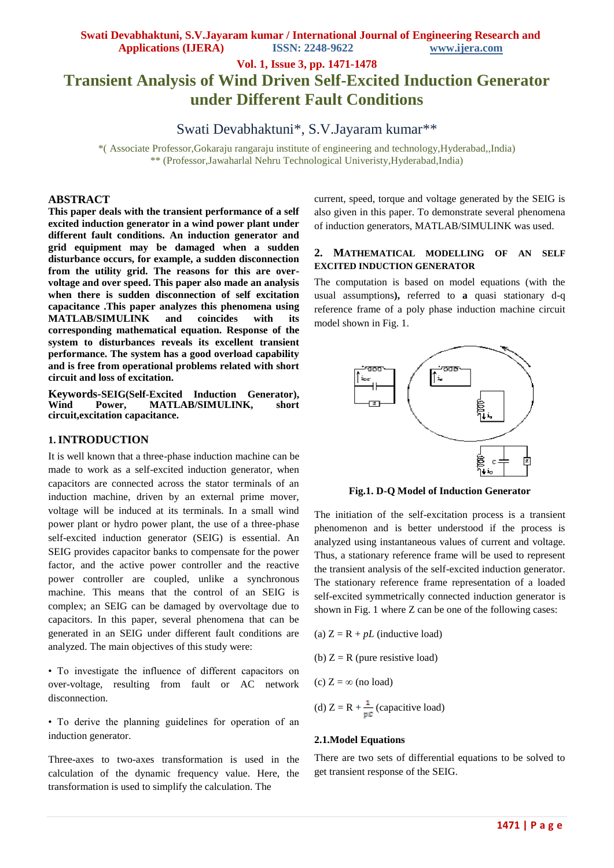**Vol. 1, Issue 3, pp. 1471-1478**

# **Transient Analysis of Wind Driven Self-Excited Induction Generator under Different Fault Conditions**

Swati Devabhaktuni\*, S.V.Jayaram kumar\*\*

\*( Associate Professor,Gokaraju rangaraju institute of engineering and technology,Hyderabad,,India) \*\* (Professor,Jawaharlal Nehru Technological Univeristy,Hyderabad,India)

## **ABSTRACT**

**This paper deals with the transient performance of a self excited induction generator in a wind power plant under different fault conditions. An induction generator and grid equipment may be damaged when a sudden disturbance occurs, for example, a sudden disconnection from the utility grid. The reasons for this are overvoltage and over speed. This paper also made an analysis when there is sudden disconnection of self excitation capacitance .This paper analyzes this phenomena using MATLAB/SIMULINK and coincides with its corresponding mathematical equation. Response of the system to disturbances reveals its excellent transient performance. The system has a good overload capability and is free from operational problems related with short circuit and loss of excitation.**

**Keywords-SEIG(Self-Excited Induction Generator), MATLAB/SIMULINK, circuit,excitation capacitance.**

### **1.INTRODUCTION**

It is well known that a three-phase induction machine can be made to work as a self-excited induction generator, when capacitors are connected across the stator terminals of an induction machine, driven by an external prime mover, voltage will be induced at its terminals. In a small wind power plant or hydro power plant, the use of a three-phase self-excited induction generator (SEIG) is essential. An SEIG provides capacitor banks to compensate for the power factor, and the active power controller and the reactive power controller are coupled, unlike a synchronous machine. This means that the control of an SEIG is complex; an SEIG can be damaged by overvoltage due to capacitors. In this paper, several phenomena that can be generated in an SEIG under different fault conditions are analyzed. The main objectives of this study were:

• To investigate the influence of different capacitors on over-voltage, resulting from fault or AC network disconnection.

• To derive the planning guidelines for operation of an induction generator.

Three-axes to two-axes transformation is used in the calculation of the dynamic frequency value. Here, the transformation is used to simplify the calculation. The

current, speed, torque and voltage generated by the SEIG is also given in this paper. To demonstrate several phenomena of induction generators, MATLAB/SIMULINK was used.

## **2. MATHEMATICAL MODELLING OF AN SELF EXCITED INDUCTION GENERATOR**

The computation is based on model equations (with the usual assumptions**),** referred to **a** quasi stationary d-q reference frame of a poly phase induction machine circuit model shown in Fig. 1.



**Fig.1. D-Q Model of Induction Generator** 

The initiation of the self-excitation process is a transient phenomenon and is better understood if the process is analyzed using instantaneous values of current and voltage. Thus, a stationary reference frame will be used to represent the transient analysis of the self-excited induction generator. The stationary reference frame representation of a loaded self-excited symmetrically connected induction generator is shown in Fig. 1 where Z can be one of the following cases:

(a)  $Z = R + pL$  (inductive load)

(b)  $Z = R$  (pure resistive load)

(c)  $Z = \infty$  (no load)

(d)  $Z = R + \frac{1}{pC}$  (capacitive load)

#### **2.1.Model Equations**

There are two sets of differential equations to be solved to get transient response of the SEIG.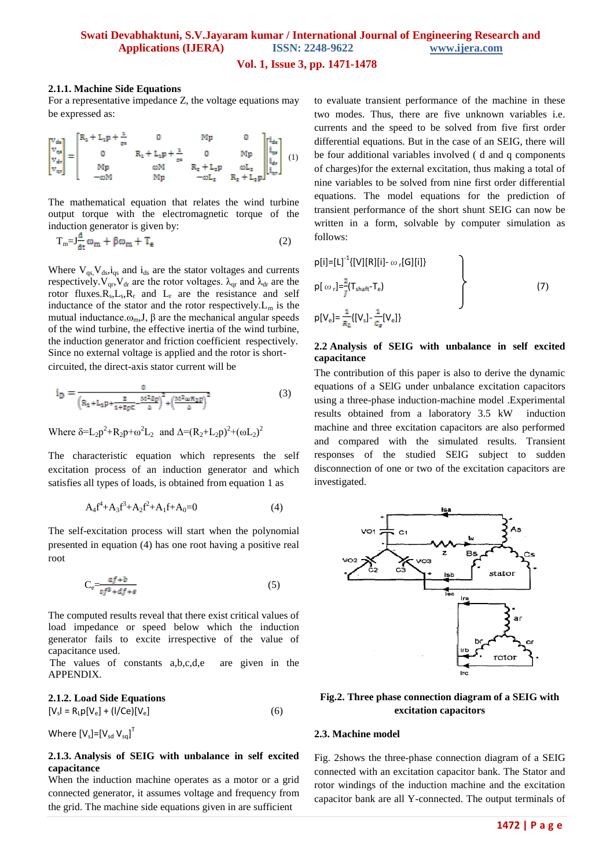#### **Vol. 1, Issue 3, pp. 1471-1478**

#### **2.1.1. Machine Side Equations**

For a representative impedance Z, the voltage equations may be expressed as:

$$
\begin{bmatrix} v_{\text{ds}} \\ v_{\text{ds}} \\ v_{\text{dr}} \\ v_{\text{dr}} \\ \end{bmatrix} = \begin{bmatrix} R_1 + L_1 p + \frac{1}{p \epsilon} & 0 & Mp & 0 \\ 0 & R_1 + L_1 p + \frac{1}{p \epsilon} & 0 & Mp \\ 0 & M & R_2 + L_2 p & \omega L_2 \\ - \omega M & Mp & - \omega L_2 & R_2 + L_2 p \end{bmatrix} \begin{bmatrix} i_{\text{ds}} \\ i_{\text{ds}} \\ i_{\text{dr}} \\ i_{\text{dr}} \\ \end{bmatrix} \ (1)
$$

The mathematical equation that relates the wind turbine output torque with the electromagnetic torque of the induction generator is given by:

$$
T_m = J_{\text{dt}}^{\alpha} \omega_m + \beta \omega_m + T_{\text{e}} \tag{2}
$$

Where  $V_{qs}$ ,  $V_{ds}$ ,  $i_{qs}$  and  $i_{ds}$  are the stator voltages and currents respectively.  $V_{qr}$ ,  $V_{dr}$  are the rotor voltages.  $\lambda_{qr}$  and  $\lambda_{dr}$  are the rotor fluxes. $R_s$ , $L_s$ , $R_r$  and  $L_r$  are the resistance and self inductance of the stator and the rotor respectively. $L_m$  is the mutual inductance.ω<sub>m</sub>, J, β are the mechanical angular speeds of the wind turbine, the effective inertia of the wind turbine, the induction generator and friction coefficient respectively. Since no external voltage is applied and the rotor is shortcircuited, the direct-axis stator current will be

$$
i_{D} = \frac{0}{\left(R_{1} + L_{1}p + \frac{z}{1 + zpc} - \frac{M^{2}\delta p}{\Delta}\right)^{2} + \left(\frac{M^{2}\omega R_{2}p}{\Delta}\right)^{2}}
$$
(3)

Where  $\delta = L_2 p^2 + R_2 p + \omega^2 L_2$  and  $\Delta = (R_2 + L_2 p)^2 + (\omega L_2)^2$ 

The characteristic equation which represents the self excitation process of an induction generator and which satisfies all types of loads, is obtained from equation 1 as

$$
A_4f^4 + A_3f^3 + A_2f^2 + A_1f + A_0 = 0 \tag{4}
$$

The self-excitation process will start when the polynomial presented in equation (4) has one root having a positive real root

$$
C_e = \frac{af + b}{cf^3 + df + e} \tag{5}
$$

The computed results reveal that there exist critical values of load impedance or speed below which the induction generator fails to excite irrespective of the value of capacitance used.

The values of constants a,b,c,d,e are given in the APPENDIX.

## **2.1.2. Load Side Equations**  $[V_s] = R_l p[V_e] + (l/Ce)[V_e]$  (6)

Where  $[V_s]{=}[V_{sd} V_{sq}]^T$ 

#### **2.1.3. Analysis of SEIG with unbalance in self excited capacitance**

When the induction machine operates as a motor or a grid connected generator, it assumes voltage and frequency from the grid. The machine side equations given in are sufficient

to evaluate transient performance of the machine in these two modes. Thus, there are five unknown variables i.e. currents and the speed to be solved from five first order differential equations. But in the case of an SEIG, there will be four additional variables involved ( d and q components of charges)for the external excitation, thus making a total of nine variables to be solved from nine first order differential equations. The model equations for the prediction of transient performance of the short shunt SEIG can now be written in a form, solvable by computer simulation as follows:

$$
p[i] = [L]^{-1}\{[V][R][i] - \omega_r[G][i]\}
$$
\n
$$
p[\omega_r] = \frac{2}{r}[T_{\text{shaf}} - T_e)
$$
\n
$$
p[V_e] = \frac{1}{r} \{[V_s] - \frac{1}{r}[V_e]\}
$$
\n(7)

#### **2.2 Analysis of SEIG with unbalance in self excited capacitance**

The contribution of this paper is also to derive the dynamic equations of a SElG under unbalance excitation capacitors using a three-phase induction-machine model .Experimental results obtained from a laboratory 3.5 kW induction machine and three excitation capacitors are also performed and compared with the simulated results. Transient responses of the studied SEIG subject to sudden disconnection of one or two of the excitation capacitors are investigated.



## **Fig.2. Three phase connection diagram of a SEIG with excitation capacitors**

#### **2.3. Machine model**

Fig. 2shows the three-phase connection diagram of a SEIG connected with an excitation capacitor bank. The Stator and rotor windings of the induction machine and the excitation capacitor bank are all Y-connected. The output terminals of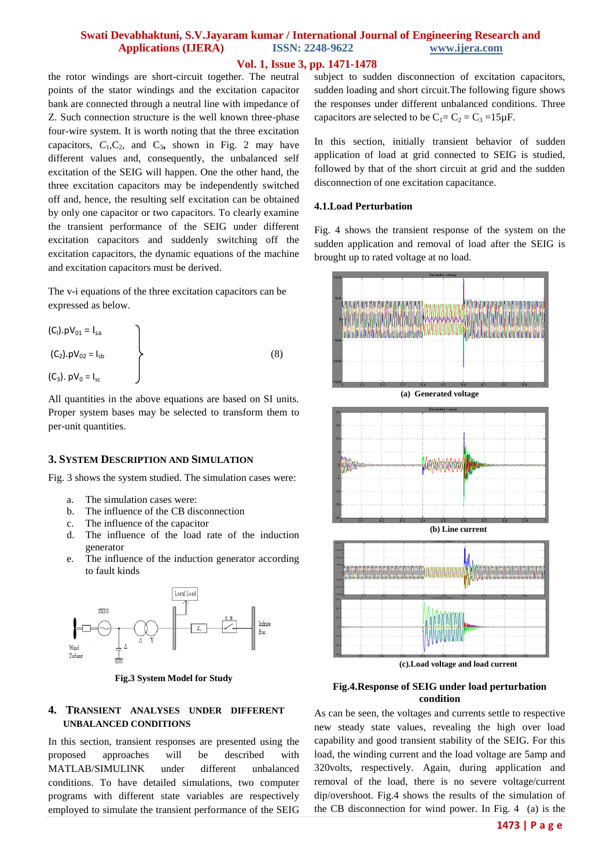#### **Vol. 1, Issue 3, pp. 1471-1478**

the rotor windings are short-circuit together. The neutral points of the stator windings and the excitation capacitor bank are connected through a neutral line with impedance of Z. Such connection structure is the well known three-phase four-wire system. It is worth noting that the three excitation capacitors,  $C_1$ ,  $C_2$ , and  $C_3$ , shown in Fig. 2 may have different values and, consequently, the unbalanced self excitation of the SEIG will happen. One the other hand, the three excitation capacitors may be independently switched off and, hence, the resulting self excitation can be obtained by only one capacitor or two capacitors. To clearly examine the transient performance of the SEIG under different excitation capacitors and suddenly switching off the excitation capacitors, the dynamic equations of the machine and excitation capacitors must be derived.

The v-i equations of the three excitation capacitors can be expressed as below.

(Cl ).pV<sup>01</sup> = Isa (C2).pV<sup>02</sup> = Isb (8) (C3). pV<sup>0</sup> = Isc

All quantities in the above equations are based on SI units. Proper system bases may be selected to transform them to per-unit quantities.

#### **3. SYSTEM DESCRIPTION AND SIMULATION**

Fig. 3 shows the system studied. The simulation cases were:

- a. The simulation cases were:
- b. The influence of the CB disconnection
- c. The influence of the capacitor
- d. The influence of the load rate of the induction generator
- e. The influence of the induction generator according to fault kinds



**Fig.3 System Model for Study**

## **4. TRANSIENT ANALYSES UNDER DIFFERENT UNBALANCED CONDITIONS**

In this section, transient responses are presented using the proposed approaches will be described with MATLAB/SIMULINK under different unbalanced conditions. To have detailed simulations, two computer programs with different state variables are respectively employed to simulate the transient performance of the SEIG

subject to sudden disconnection of excitation capacitors, sudden loading and short circuit.The following figure shows the responses under different unbalanced conditions. Three capacitors are selected to be  $C_1 = C_2 = C_3 = 15 \mu F$ .

In this section, initially transient behavior of sudden application of load at grid connected to SEIG is studied, followed by that of the short circuit at grid and the sudden disconnection of one excitation capacitance.

#### **4.1.Load Perturbation**

Fig. 4 shows the transient response of the system on the sudden application and removal of load after the SEIG is brought up to rated voltage at no load.



#### **Fig.4.Response of SEIG under load perturbation condition**

As can be seen, the voltages and currents settle to respective new steady state values, revealing the high over load capability and good transient stability of the SEIG. For this load, the winding current and the load voltage are 5amp and 320volts, respectively. Again, during application and removal of the load, there is no severe voltage/current dip/overshoot. Fig.4 shows the results of the simulation of the CB disconnection for wind power. In Fig. 4 (a) is the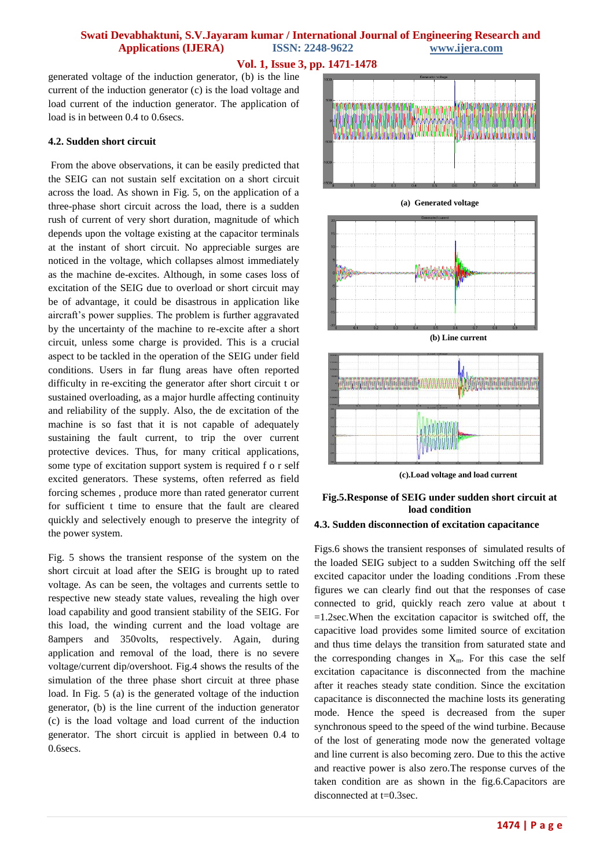**Vol. 1, Issue 3, pp. 1471-1478**

generated voltage of the induction generator, (b) is the line current of the induction generator (c) is the load voltage and load current of the induction generator. The application of load is in between 0.4 to 0.6secs.

## **4.2. Sudden short circuit**

From the above observations, it can be easily predicted that the SEIG can not sustain self excitation on a short circuit across the load. As shown in Fig. 5, on the application of a three-phase short circuit across the load, there is a sudden rush of current of very short duration, magnitude of which depends upon the voltage existing at the capacitor terminals at the instant of short circuit. No appreciable surges are noticed in the voltage, which collapses almost immediately as the machine de-excites. Although, in some cases loss of excitation of the SEIG due to overload or short circuit may be of advantage, it could be disastrous in application like aircraft's power supplies. The problem is further aggravated by the uncertainty of the machine to re-excite after a short circuit, unless some charge is provided. This is a crucial aspect to be tackled in the operation of the SEIG under field conditions. Users in far flung areas have often reported difficulty in re-exciting the generator after short circuit t or sustained overloading, as a major hurdle affecting continuity and reliability of the supply. Also, the de excitation of the machine is so fast that it is not capable of adequately sustaining the fault current, to trip the over current protective devices. Thus, for many critical applications, some type of excitation support system is required f o r self excited generators. These systems, often referred as field forcing schemes , produce more than rated generator current for sufficient t time to ensure that the fault are cleared quickly and selectively enough to preserve the integrity of the power system.

Fig. 5 shows the transient response of the system on the short circuit at load after the SEIG is brought up to rated voltage. As can be seen, the voltages and currents settle to respective new steady state values, revealing the high over load capability and good transient stability of the SEIG. For this load, the winding current and the load voltage are 8ampers and 350volts, respectively. Again, during application and removal of the load, there is no severe voltage/current dip/overshoot. Fig.4 shows the results of the simulation of the three phase short circuit at three phase load. In Fig. 5 (a) is the generated voltage of the induction generator, (b) is the line current of the induction generator (c) is the load voltage and load current of the induction generator. The short circuit is applied in between 0.4 to 0.6secs.









Figs.6 shows the transient responses of simulated results of the loaded SEIG subject to a sudden Switching off the self excited capacitor under the loading conditions .From these figures we can clearly find out that the responses of case connected to grid, quickly reach zero value at about t  $=1.2$ sec.When the excitation capacitor is switched off, the capacitive load provides some limited source of excitation and thus time delays the transition from saturated state and the corresponding changes in  $X<sub>m</sub>$ . For this case the self excitation capacitance is disconnected from the machine after it reaches steady state condition. Since the excitation capacitance is disconnected the machine losts its generating mode. Hence the speed is decreased from the super synchronous speed to the speed of the wind turbine. Because of the lost of generating mode now the generated voltage and line current is also becoming zero. Due to this the active and reactive power is also zero.The response curves of the taken condition are as shown in the fig.6.Capacitors are disconnected at t=0.3sec.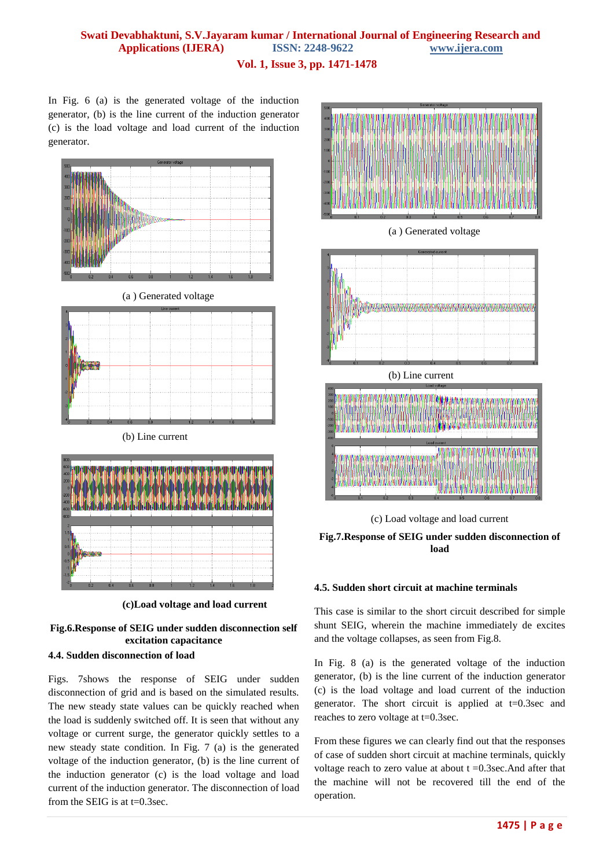**Vol. 1, Issue 3, pp. 1471-1478**

In Fig. 6 (a) is the generated voltage of the induction generator, (b) is the line current of the induction generator (c) is the load voltage and load current of the induction generator.



**(c)Load voltage and load current**

## **Fig.6.Response of SEIG under sudden disconnection self excitation capacitance 4.4. Sudden disconnection of load**

Figs. 7shows the response of SEIG under sudden disconnection of grid and is based on the simulated results. The new steady state values can be quickly reached when the load is suddenly switched off. It is seen that without any voltage or current surge, the generator quickly settles to a new steady state condition. In Fig. 7 (a) is the generated voltage of the induction generator, (b) is the line current of the induction generator (c) is the load voltage and load current of the induction generator. The disconnection of load from the SEIG is at t=0.3sec.



(a ) Generated voltage





(c) Load voltage and load current



## **4.5. Sudden short circuit at machine terminals**

This case is similar to the short circuit described for simple shunt SEIG, wherein the machine immediately de excites and the voltage collapses, as seen from Fig.8.

In Fig. 8 (a) is the generated voltage of the induction generator, (b) is the line current of the induction generator (c) is the load voltage and load current of the induction generator. The short circuit is applied at t=0.3sec and reaches to zero voltage at t=0.3sec.

From these figures we can clearly find out that the responses of case of sudden short circuit at machine terminals, quickly voltage reach to zero value at about  $t = 0.3$ sec.And after that the machine will not be recovered till the end of the operation.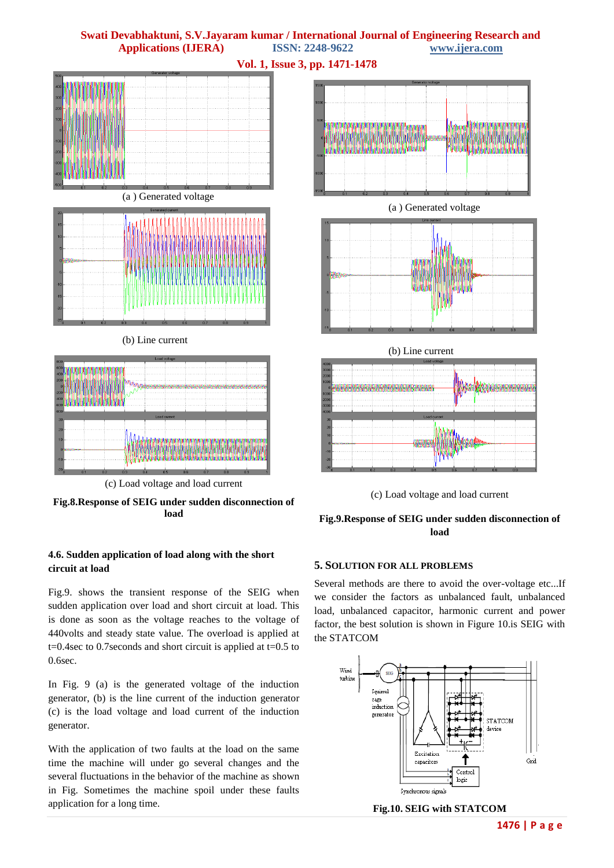

**Swati Devabhaktuni, S.V.Jayaram kumar / International Journal of Engineering Research and** 

**Fig.8.Response of SEIG under sudden disconnection of load**

## **4.6. Sudden application of load along with the short circuit at load**

Fig.9. shows the transient response of the SEIG when sudden application over load and short circuit at load. This is done as soon as the voltage reaches to the voltage of 440volts and steady state value. The overload is applied at t=0.4sec to 0.7seconds and short circuit is applied at t=0.5 to 0.6sec.

In Fig. 9 (a) is the generated voltage of the induction generator, (b) is the line current of the induction generator (c) is the load voltage and load current of the induction generator.

With the application of two faults at the load on the same time the machine will under go several changes and the several fluctuations in the behavior of the machine as shown in Fig. Sometimes the machine spoil under these faults application for a long time.

## **Fig.9.Response of SEIG under sudden disconnection of load**

#### **5. SOLUTION FOR ALL PROBLEMS**

Several methods are there to avoid the over-voltage etc...If we consider the factors as unbalanced fault, unbalanced load, unbalanced capacitor, harmonic current and power factor, the best solution is shown in Figure 10.is SEIG with the STATCOM



**Fig.10. SEIG with STATCOM**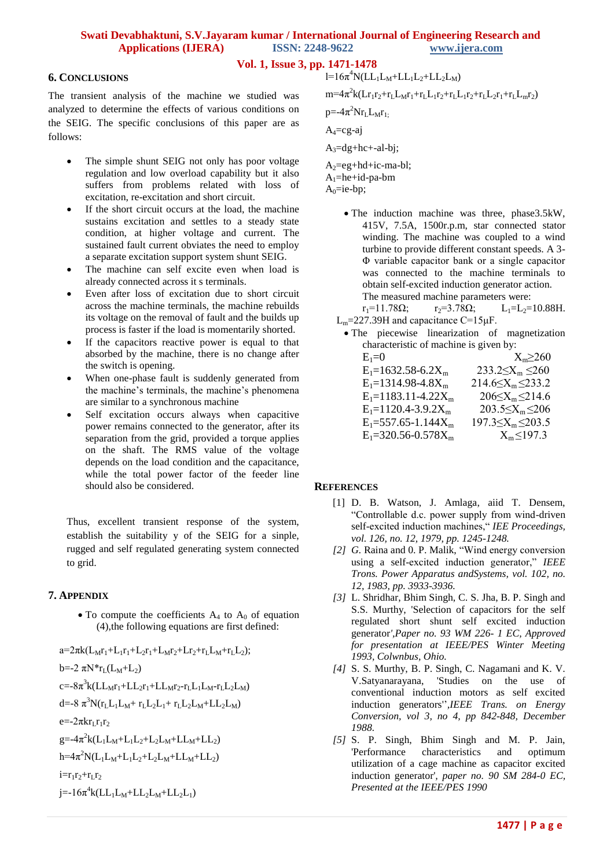**Vol. 1, Issue 3, pp. 1471-1478**

## **6. CONCLUSIONS**

The transient analysis of the machine we studied was analyzed to determine the effects of various conditions on the SEIG. The specific conclusions of this paper are as follows:

- The simple shunt SEIG not only has poor voltage regulation and low overload capability but it also suffers from problems related with loss of excitation, re-excitation and short circuit.
- If the short circuit occurs at the load, the machine sustains excitation and settles to a steady state condition, at higher voltage and current. The sustained fault current obviates the need to employ a separate excitation support system shunt SEIG.
- The machine can self excite even when load is already connected across it s terminals.
- Even after loss of excitation due to short circuit across the machine terminals, the machine rebuilds its voltage on the removal of fault and the builds up process is faster if the load is momentarily shorted.
- If the capacitors reactive power is equal to that absorbed by the machine, there is no change after the switch is opening.
- When one-phase fault is suddenly generated from the machine's terminals, the machine's phenomena are similar to a synchronous machine
- Self excitation occurs always when capacitive power remains connected to the generator, after its separation from the grid, provided a torque applies on the shaft. The RMS value of the voltage depends on the load condition and the capacitance, while the total power factor of the feeder line should also be considered.

Thus, excellent transient response of the system, establish the suitability y of the SEIG for a sinple, rugged and self regulated generating system connected to grid.

## **7. APPENDIX**

 $\bullet$  To compute the coefficients  $A_4$  to  $A_0$  of equation (4),the following equations are first defined:

```
a=2\pi k(L_Mr_1+L_1r_1+L_2r_1+L_Mr_2+Lr_2+r_1L_M+r_1L_2);
```

```
b=-2 \pi N^* r_L(L_M+L_2)
```

```
c=-8\pi^3k(LL<sub>M</sub>r<sub>1</sub>+LL<sub>2</sub>r<sub>1</sub>+LL<sub>M</sub>r<sub>2</sub>-r<sub>L</sub>L<sub>1</sub>L<sub>M</sub>-r<sub>L</sub>L<sub>2</sub>L<sub>M</sub>)
```

```
d=-8 \pi^3 N(r_L L_1 L_M + r_L L_2 L_1 + r_L L_2 L_M + L L_2 L_M)
```

```
e=-2\pi k r_L r_1r_2
```

```
g=-4\pi^2k(L<sub>1</sub>L<sub>M</sub>+L<sub>1</sub>L<sub>2</sub>+L<sub>2</sub>L<sub>M</sub>+LL<sub>M</sub>+LL<sub>2</sub>)
```

```
h=4\pi^2N(L_1L_M+L_1L_2+L_2L_M+LL_M+LL_2)
```

```
i=r_1r_2+r_1r_2
```

```
j=-16\pi^4k(LL<sub>1</sub>L<sub>M</sub>+LL<sub>2</sub>L<sub>M</sub>+LL<sub>2</sub>L<sub>1</sub>)
```
 $l=16\pi^4N (LL_1L_M+LL_1L_2+LL_2L_M)$  $m=4\pi^2k(Lr_1r_2+r_LL_Mr_1+r_LL_1r_2+r_LL_1r_2+r_LL_2r_1+r_LL_mr_2)$ 

 $p = -4\pi^2 N r_L L_M r_L$ 

 $A_4 = cg - aj$ 

 $A_3 = dg + hc + -al-bi$ :

- $A_2=eg+hd+ic-ma-bl$ :  $A_1$ =he+id-pa-bm  $A<sub>0</sub>=ie-bp;$ 
	- The induction machine was three, phase3.5kW, 415V, 7.5A, 1500r.p.m, star connected stator winding. The machine was coupled to a wind turbine to provide different constant speeds. A 3- Φ variable capacitor bank or a single capacitor was connected to the machine terminals to obtain self-excited induction generator action. The measured machine parameters were:

 $r_1=11.78\Omega$ ;  $r_2=3.78\Omega$ ;  $L_1=L_2=10.88\text{H}$ .  $L_m$ =227.39H and capacitance C=15 $\mu$ F.

• The piecewise linearization of magnetization characteristic of machine is given by:

| $E_1=0$                   | $X_{\rm m} > 260$           |
|---------------------------|-----------------------------|
| $E_1 = 1632.58 - 6.2X_m$  | $233.2 \leq X_m \leq 260$   |
| $E_1 = 1314.98 - 4.8X_m$  | 214.6 $\leq X_m \leq 233.2$ |
| $E_1 = 1183.11 - 4.22X_m$ | $206 \leq X_m \leq 214.6$   |
| $E_1 = 1120.4 - 3.9.2X_m$ | $203.5 \leq X_m \leq 206$   |
| $E_1 = 557.65 - 1.144X_m$ | $197.3 \leq X_m \leq 203.5$ |
| $E_1 = 320.56 - 0.578X_m$ | $X_{\rm m} \le 197.3$       |

## **REFERENCES**

- [1] D. B. Watson, J. Amlaga, aiid T. Densem, "Controllable d.c. power supply from wind-driven self-excited induction machines," *IEE Proceedings, vol. 126, no. 12, 1979, pp. 1245-1248.*
- *[2] G.* Raina and 0. P. Malik, "Wind energy conversion using a self-excited induction generator," *IEEE Trons. Power Apparatus andSystems, vol. 102, no. 12, 1983, pp. 3933-3936.*
- *[3]* L. Shridhar, Bhim Singh, C. S. Jha, B. P. Singh and S.S. Murthy, 'Selection of capacitors for the self regulated short shunt self excited induction generator*',Paper no. 93 WM 226- 1 EC, Approved for presentation at IEEE/PES Winter Meeting 1993, Colwnbus, Ohio.*
- *[4]* S. S. Murthy, B. P. Singh, C. Nagamani and K. V. V.Satyanarayana, 'Studies on the use of conventional induction motors as self excited induction generators''*,IEEE Trans. on Energy Conversion, vol 3, no 4, pp 842-848, December 1988.*
- *[5]* S. P. Singh, Bhim Singh and M. P. Jain, 'Performance characteristics and optimum utilization of a cage machine as capacitor excited induction generator'*, paper no. 90 SM 284-0 EC, Presented at the IEEE/PES 1990*